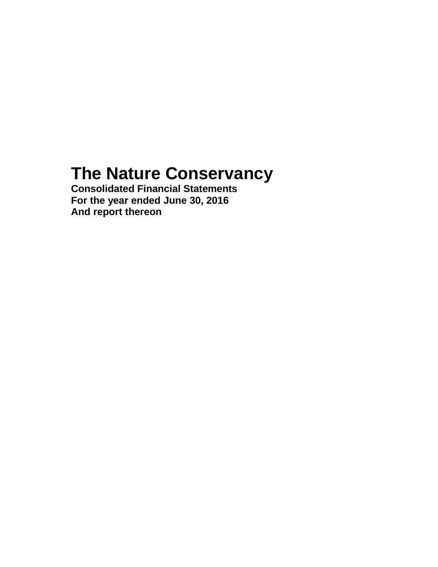# **The Nature Conservancy**

**Consolidated Financial Statements For the year ended June 30, 2016 And report thereon**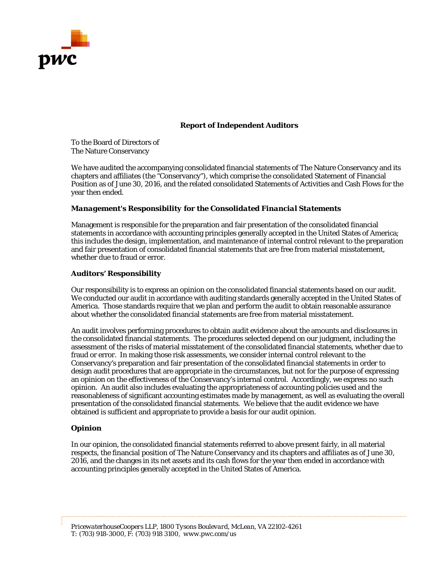

#### **Report of Independent Auditors**

To the Board of Directors of The Nature Conservancy

We have audited the accompanying consolidated financial statements of The Nature Conservancy and its chapters and affiliates (the "Conservancy"), which comprise the consolidated Statement of Financial Position as of June 30, 2016, and the related consolidated Statements of Activities and Cash Flows for the year then ended.

## *Management's Responsibility for the Consolidated Financial Statements*

Management is responsible for the preparation and fair presentation of the consolidated financial statements in accordance with accounting principles generally accepted in the United States of America; this includes the design, implementation, and maintenance of internal control relevant to the preparation and fair presentation of consolidated financial statements that are free from material misstatement, whether due to fraud or error.

#### *Auditors' Responsibility*

Our responsibility is to express an opinion on the consolidated financial statements based on our audit. We conducted our audit in accordance with auditing standards generally accepted in the United States of America. Those standards require that we plan and perform the audit to obtain reasonable assurance about whether the consolidated financial statements are free from material misstatement.

An audit involves performing procedures to obtain audit evidence about the amounts and disclosures in the consolidated financial statements. The procedures selected depend on our judgment, including the assessment of the risks of material misstatement of the consolidated financial statements, whether due to fraud or error. In making those risk assessments, we consider internal control relevant to the Conservancy's preparation and fair presentation of the consolidated financial statements in order to design audit procedures that are appropriate in the circumstances, but not for the purpose of expressing an opinion on the effectiveness of the Conservancy's internal control. Accordingly, we express no such opinion. An audit also includes evaluating the appropriateness of accounting policies used and the reasonableness of significant accounting estimates made by management, as well as evaluating the overall presentation of the consolidated financial statements. We believe that the audit evidence we have obtained is sufficient and appropriate to provide a basis for our audit opinion.

#### *Opinion*

In our opinion, the consolidated financial statements referred to above present fairly, in all material respects, the financial position of The Nature Conservancy and its chapters and affiliates as of June 30, 2016, and the changes in its net assets and its cash flows for the year then ended in accordance with accounting principles generally accepted in the United States of America.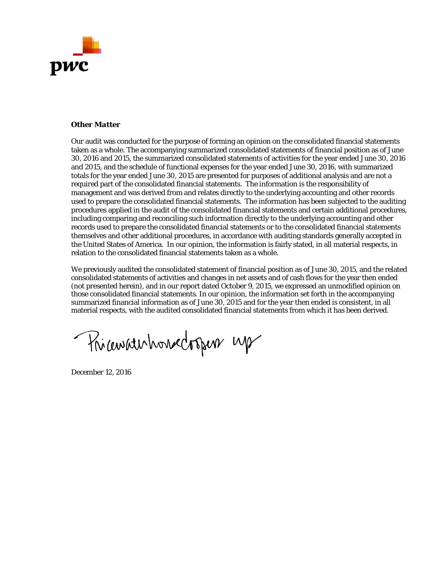

#### *Other Matter*

Our audit was conducted for the purpose of forming an opinion on the consolidated financial statements taken as a whole. The accompanying summarized consolidated statements of financial position as of June 30, 2016 and 2015, the summarized consolidated statements of activities for the year ended June 30, 2016 and 2015, and the schedule of functional expenses for the year ended June 30, 2016, with summarized totals for the year ended June 30, 2015 are presented for purposes of additional analysis and are not a required part of the consolidated financial statements. The information is the responsibility of management and was derived from and relates directly to the underlying accounting and other records used to prepare the consolidated financial statements. The information has been subjected to the auditing procedures applied in the audit of the consolidated financial statements and certain additional procedures, including comparing and reconciling such information directly to the underlying accounting and other records used to prepare the consolidated financial statements or to the consolidated financial statements themselves and other additional procedures, in accordance with auditing standards generally accepted in the United States of America. In our opinion, the information is fairly stated, in all material respects, in relation to the consolidated financial statements taken as a whole.

We previously audited the consolidated statement of financial position as of June 30, 2015, and the related consolidated statements of activities and changes in net assets and of cash flows for the year then ended (not presented herein), and in our report dated October 9, 2015, we expressed an unmodified opinion on those consolidated financial statements. In our opinion, the information set forth in the accompanying summarized financial information as of June 30, 2015 and for the year then ended is consistent, in all material respects, with the audited consolidated financial statements from which it has been derived.

Pricewaterhorsecorper up

December 12, 2016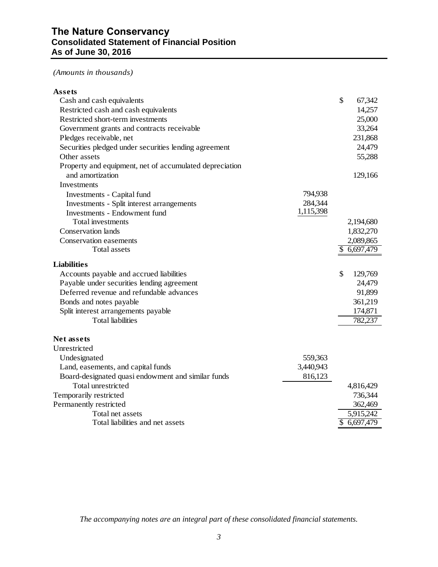# **The Nature Conservancy Consolidated Statement of Financial Position As of June 30, 2016**

*(Amounts in thousands)*

| Assets                                                                      |           |              |                          |
|-----------------------------------------------------------------------------|-----------|--------------|--------------------------|
| Cash and cash equivalents                                                   |           | $\mathbb{S}$ | 67,342                   |
| Restricted cash and cash equivalents                                        |           |              | 14,257                   |
| Restricted short-term investments                                           |           |              | 25,000                   |
| Government grants and contracts receivable                                  |           |              | 33,264                   |
| Pledges receivable, net                                                     |           |              | 231,868                  |
| Securities pledged under securities lending agreement                       |           |              | 24,479                   |
| Other assets                                                                |           |              | 55,288                   |
| Property and equipment, net of accumulated depreciation<br>and amortization |           |              | 129,166                  |
| Investments                                                                 |           |              |                          |
| Investments - Capital fund                                                  | 794,938   |              |                          |
| Investments - Split interest arrangements                                   | 284,344   |              |                          |
| Investments - Endowment fund                                                | 1,115,398 |              |                          |
| Total investments                                                           |           |              | 2,194,680                |
| <b>Conservation lands</b>                                                   |           |              | 1,832,270                |
| <b>Conservation easements</b>                                               |           |              | 2,089,865                |
| <b>Total assets</b>                                                         |           |              | $\overline{$}$ 6,697,479 |
| <b>Liabilities</b>                                                          |           |              |                          |
| Accounts payable and accrued liabilities                                    |           | \$           | 129,769                  |
| Payable under securities lending agreement                                  |           |              | 24,479                   |
| Deferred revenue and refundable advances                                    |           |              | 91,899                   |
| Bonds and notes payable                                                     |           |              | 361,219                  |
| Split interest arrangements payable                                         |           |              | 174,871                  |
| <b>Total liabilities</b>                                                    |           |              | 782,237                  |
|                                                                             |           |              |                          |
| <b>Net assets</b>                                                           |           |              |                          |
| Unrestricted                                                                |           |              |                          |
| Undesignated                                                                | 559,363   |              |                          |
| Land, easements, and capital funds                                          | 3,440,943 |              |                          |
| Board-designated quasi endowment and similar funds                          | 816,123   |              |                          |
| Total unrestricted                                                          |           |              | 4,816,429                |
| Temporarily restricted                                                      |           |              | 736,344                  |
| Permanently restricted                                                      |           |              | 362,469                  |
| Total net assets                                                            |           |              | 5,915,242                |
| Total liabilities and net assets                                            |           |              | \$6,697,479              |

*The accompanying notes are an integral part of these consolidated financial statements.*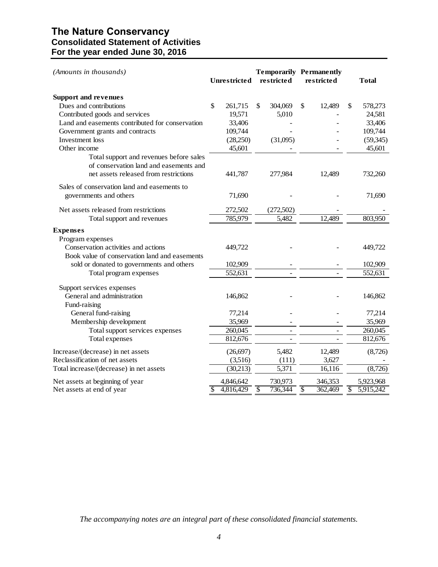# **The Nature Conservancy Consolidated Statement of Activities For the year ended June 30, 2016**

| (Amounts in thousands)                          | <b>Unrestricted</b> | <b>Temporarily Permanently</b><br>restricted<br>restricted |                                     | <b>Total</b>                 |
|-------------------------------------------------|---------------------|------------------------------------------------------------|-------------------------------------|------------------------------|
| <b>Support and revenues</b>                     |                     |                                                            |                                     |                              |
| Dues and contributions                          | \$<br>261,715       | \$<br>304,069                                              | $\mathbb{S}$<br>12,489              | \$<br>578,273                |
| Contributed goods and services                  | 19,571              | 5,010                                                      |                                     | 24,581                       |
| Land and easements contributed for conservation | 33,406              |                                                            |                                     | 33,406                       |
| Government grants and contracts                 | 109,744             |                                                            |                                     | 109,744                      |
| Investment loss                                 | (28,250)            | (31,095)                                                   |                                     | (59, 345)                    |
| Other income                                    | 45,601              |                                                            |                                     | 45,601                       |
| Total support and revenues before sales         |                     |                                                            |                                     |                              |
| of conservation land and easements and          |                     |                                                            |                                     |                              |
| net assets released from restrictions           | 441,787             | 277,984                                                    | 12,489                              | 732,260                      |
| Sales of conservation land and easements to     |                     |                                                            |                                     |                              |
| governments and others                          | 71,690              |                                                            |                                     | 71,690                       |
| Net assets released from restrictions           | 272,502             | (272,502)                                                  |                                     |                              |
| Total support and revenues                      | 785,979             | 5.482                                                      | 12,489                              | 803,950                      |
| <b>Expenses</b>                                 |                     |                                                            |                                     |                              |
| Program expenses                                |                     |                                                            |                                     |                              |
| Conservation activities and actions             | 449,722             |                                                            |                                     | 449,722                      |
| Book value of conservation land and easements   |                     |                                                            |                                     |                              |
| sold or donated to governments and others       | 102,909             |                                                            |                                     | 102,909                      |
| Total program expenses                          | 552,631             |                                                            |                                     | 552,631                      |
| Support services expenses                       |                     |                                                            |                                     |                              |
| General and administration                      | 146,862             |                                                            |                                     | 146,862                      |
| Fund-raising                                    |                     |                                                            |                                     |                              |
| General fund-raising                            | 77,214              |                                                            |                                     | 77,214                       |
| Membership development                          | 35,969              |                                                            |                                     | 35,969                       |
| Total support services expenses                 | 260,045             | ÷,                                                         |                                     | 260,045                      |
| Total expenses                                  | 812,676             |                                                            |                                     | 812,676                      |
| Increase/(decrease) in net assets               | (26, 697)           | 5,482                                                      | 12,489                              | (8,726)                      |
| Reclassification of net assets                  | (3,516)             | (111)                                                      | 3,627                               |                              |
| Total increase/(decrease) in net assets         | (30,213)            | 5,371                                                      | 16,116                              | (8,726)                      |
| Net assets at beginning of year                 | 4,846,642           | 730,973                                                    | 346,353                             | 5,923,968                    |
| Net assets at end of year                       | \$<br>4,816,429     | $\overline{\$}$<br>736,344                                 | $\overline{\mathcal{S}}$<br>362,469 | $\overline{\$}$<br>5,915,242 |

*The accompanying notes are an integral part of these consolidated financial statements.*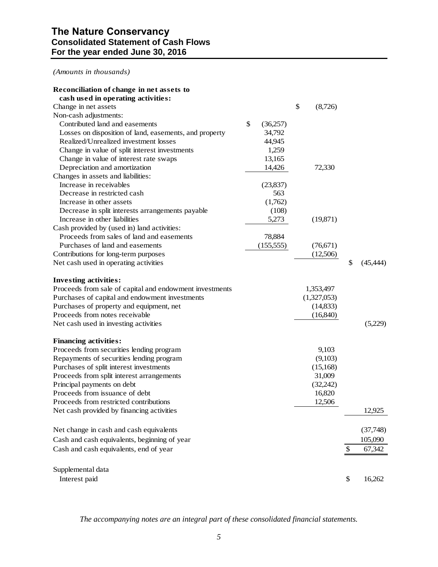# **The Nature Conservancy Consolidated Statement of Cash Flows For the year ended June 30, 2016**

*(Amounts in thousands)*

| Reconciliation of change in net assets to               |                |               |                 |
|---------------------------------------------------------|----------------|---------------|-----------------|
| cash used in operating activities:                      |                |               |                 |
| Change in net assets                                    |                | \$<br>(8,726) |                 |
| Non-cash adjustments:                                   |                |               |                 |
| Contributed land and easements                          | \$<br>(36,257) |               |                 |
| Losses on disposition of land, easements, and property  | 34,792         |               |                 |
| Realized/Unrealized investment losses                   | 44,945         |               |                 |
| Change in value of split interest investments           | 1,259          |               |                 |
| Change in value of interest rate swaps                  | 13,165         |               |                 |
| Depreciation and amortization                           | 14,426         | 72,330        |                 |
| Changes in assets and liabilities:                      |                |               |                 |
| Increase in receivables                                 | (23, 837)      |               |                 |
| Decrease in restricted cash                             | 563            |               |                 |
| Increase in other assets                                | (1,762)        |               |                 |
| Decrease in split interests arrangements payable        | (108)          |               |                 |
| Increase in other liabilities                           | 5,273          | (19, 871)     |                 |
| Cash provided by (used in) land activities:             |                |               |                 |
| Proceeds from sales of land and easements               | 78,884         |               |                 |
| Purchases of land and easements                         | (155, 555)     | (76, 671)     |                 |
| Contributions for long-term purposes                    |                | (12,506)      |                 |
| Net cash used in operating activities                   |                |               | \$<br>(45, 444) |
| <b>Investing activities:</b>                            |                |               |                 |
| Proceeds from sale of capital and endowment investments |                | 1,353,497     |                 |
| Purchases of capital and endowment investments          |                | (1,327,053)   |                 |
| Purchases of property and equipment, net                |                | (14,833)      |                 |
| Proceeds from notes receivable                          |                | (16, 840)     |                 |
| Net cash used in investing activities                   |                |               | (5,229)         |
| <b>Financing activities:</b>                            |                |               |                 |
| Proceeds from securities lending program                |                | 9,103         |                 |
| Repayments of securities lending program                |                | (9,103)       |                 |
| Purchases of split interest investments                 |                | (15, 168)     |                 |
| Proceeds from split interest arrangements               |                | 31,009        |                 |
| Principal payments on debt                              |                | (32,242)      |                 |
| Proceeds from issuance of debt                          |                | 16,820        |                 |
| Proceeds from restricted contributions                  |                | 12,506        |                 |
| Net cash provided by financing activities               |                |               | 12,925          |
| Net change in cash and cash equivalents                 |                |               | (37,748)        |
| Cash and cash equivalents, beginning of year            |                |               | 105,090         |
| Cash and cash equivalents, end of year                  |                |               | \$<br>67,342    |
|                                                         |                |               |                 |
| Supplemental data                                       |                |               |                 |
| Interest paid                                           |                |               | \$<br>16,262    |

*The accompanying notes are an integral part of these consolidated financial statements.*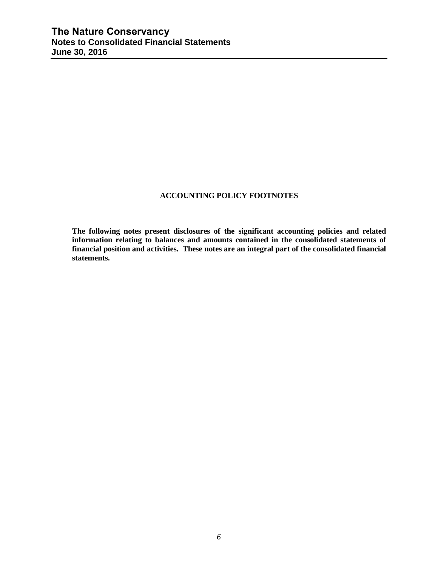# **ACCOUNTING POLICY FOOTNOTES**

**The following notes present disclosures of the significant accounting policies and related information relating to balances and amounts contained in the consolidated statements of financial position and activities. These notes are an integral part of the consolidated financial statements.**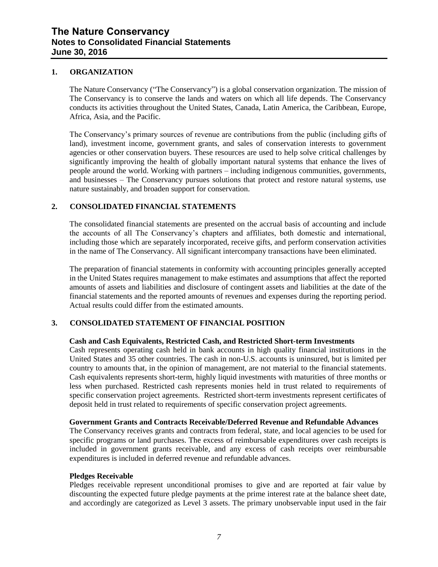#### **1. ORGANIZATION**

The Nature Conservancy ("The Conservancy") is a global conservation organization. The mission of The Conservancy is to conserve the lands and waters on which all life depends. The Conservancy conducts its activities throughout the United States, Canada, Latin America, the Caribbean, Europe, Africa, Asia, and the Pacific.

The Conservancy's primary sources of revenue are contributions from the public (including gifts of land), investment income, government grants, and sales of conservation interests to government agencies or other conservation buyers. These resources are used to help solve critical challenges by significantly improving the health of globally important natural systems that enhance the lives of people around the world. Working with partners – including indigenous communities, governments, and businesses – The Conservancy pursues solutions that protect and restore natural systems, use nature sustainably, and broaden support for conservation.

# **2. CONSOLIDATED FINANCIAL STATEMENTS**

The consolidated financial statements are presented on the accrual basis of accounting and include the accounts of all The Conservancy's chapters and affiliates, both domestic and international, including those which are separately incorporated, receive gifts, and perform conservation activities in the name of The Conservancy. All significant intercompany transactions have been eliminated.

The preparation of financial statements in conformity with accounting principles generally accepted in the United States requires management to make estimates and assumptions that affect the reported amounts of assets and liabilities and disclosure of contingent assets and liabilities at the date of the financial statements and the reported amounts of revenues and expenses during the reporting period. Actual results could differ from the estimated amounts.

# **3. CONSOLIDATED STATEMENT OF FINANCIAL POSITION**

## **Cash and Cash Equivalents, Restricted Cash, and Restricted Short-term Investments**

Cash represents operating cash held in bank accounts in high quality financial institutions in the United States and 35 other countries. The cash in non-U.S. accounts is uninsured, but is limited per country to amounts that, in the opinion of management, are not material to the financial statements. Cash equivalents represents short-term, highly liquid investments with maturities of three months or less when purchased. Restricted cash represents monies held in trust related to requirements of specific conservation project agreements. Restricted short-term investments represent certificates of deposit held in trust related to requirements of specific conservation project agreements.

#### **Government Grants and Contracts Receivable/Deferred Revenue and Refundable Advances**

The Conservancy receives grants and contracts from federal, state, and local agencies to be used for specific programs or land purchases. The excess of reimbursable expenditures over cash receipts is included in government grants receivable, and any excess of cash receipts over reimbursable expenditures is included in deferred revenue and refundable advances.

#### **Pledges Receivable**

Pledges receivable represent unconditional promises to give and are reported at fair value by discounting the expected future pledge payments at the prime interest rate at the balance sheet date, and accordingly are categorized as Level 3 assets. The primary unobservable input used in the fair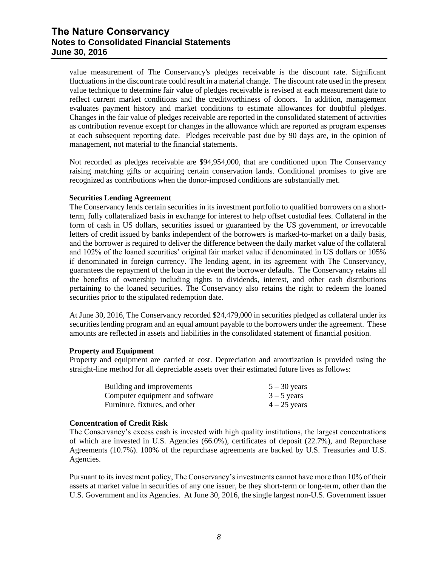value measurement of The Conservancy's pledges receivable is the discount rate. Significant fluctuations in the discount rate could result in a material change. The discount rate used in the present value technique to determine fair value of pledges receivable is revised at each measurement date to reflect current market conditions and the creditworthiness of donors. In addition, management evaluates payment history and market conditions to estimate allowances for doubtful pledges. Changes in the fair value of pledges receivable are reported in the consolidated statement of activities as contribution revenue except for changes in the allowance which are reported as program expenses at each subsequent reporting date. Pledges receivable past due by 90 days are, in the opinion of management, not material to the financial statements.

Not recorded as pledges receivable are \$94,954,000, that are conditioned upon The Conservancy raising matching gifts or acquiring certain conservation lands. Conditional promises to give are recognized as contributions when the donor-imposed conditions are substantially met.

#### **Securities Lending Agreement**

The Conservancy lends certain securities in its investment portfolio to qualified borrowers on a shortterm, fully collateralized basis in exchange for interest to help offset custodial fees. Collateral in the form of cash in US dollars, securities issued or guaranteed by the US government, or irrevocable letters of credit issued by banks independent of the borrowers is marked-to-market on a daily basis, and the borrower is required to deliver the difference between the daily market value of the collateral and 102% of the loaned securities' original fair market value if denominated in US dollars or 105% if denominated in foreign currency. The lending agent, in its agreement with The Conservancy, guarantees the repayment of the loan in the event the borrower defaults. The Conservancy retains all the benefits of ownership including rights to dividends, interest, and other cash distributions pertaining to the loaned securities. The Conservancy also retains the right to redeem the loaned securities prior to the stipulated redemption date.

At June 30, 2016, The Conservancy recorded \$24,479,000 in securities pledged as collateral under its securities lending program and an equal amount payable to the borrowers under the agreement. These amounts are reflected in assets and liabilities in the consolidated statement of financial position.

#### **Property and Equipment**

Property and equipment are carried at cost. Depreciation and amortization is provided using the straight-line method for all depreciable assets over their estimated future lives as follows:

| Building and improvements       | $5 - 30$ years |
|---------------------------------|----------------|
| Computer equipment and software | $3 - 5$ years  |
| Furniture, fixtures, and other  | $4 - 25$ years |

#### **Concentration of Credit Risk**

The Conservancy's excess cash is invested with high quality institutions, the largest concentrations of which are invested in U.S. Agencies (66.0%), certificates of deposit (22.7%), and Repurchase Agreements (10.7%). 100% of the repurchase agreements are backed by U.S. Treasuries and U.S. Agencies.

Pursuant to its investment policy, The Conservancy's investments cannot have more than 10% of their assets at market value in securities of any one issuer, be they short-term or long-term, other than the U.S. Government and its Agencies. At June 30, 2016, the single largest non-U.S. Government issuer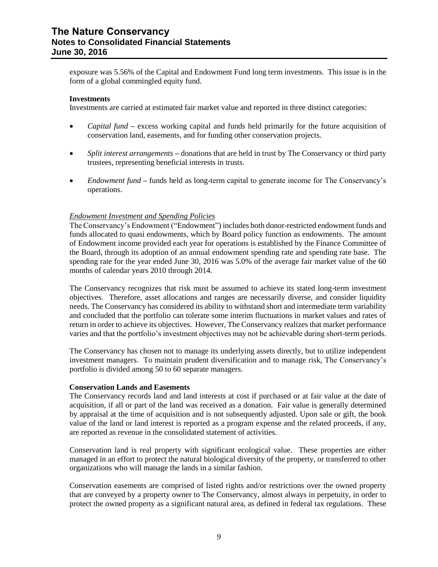exposure was 5.56% of the Capital and Endowment Fund long term investments. This issue is in the form of a global commingled equity fund.

#### **Investments**

Investments are carried at estimated fair market value and reported in three distinct categories:

- *Capital fund* excess working capital and funds held primarily for the future acquisition of conservation land, easements, and for funding other conservation projects.
- *Split interest arrangements* **–** donations that are held in trust by The Conservancy or third party trustees, representing beneficial interests in trusts.
- *Endowment fund* funds held as long-term capital to generate income for The Conservancy's operations.

#### *Endowment Investment and Spending Policies*

The Conservancy's Endowment ("Endowment") includes both donor-restricted endowment funds and funds allocated to quasi endowments, which by Board policy function as endowments. The amount of Endowment income provided each year for operations is established by the Finance Committee of the Board, through its adoption of an annual endowment spending rate and spending rate base. The spending rate for the year ended June 30, 2016 was 5.0% of the average fair market value of the 60 months of calendar years 2010 through 2014.

The Conservancy recognizes that risk must be assumed to achieve its stated long-term investment objectives. Therefore, asset allocations and ranges are necessarily diverse, and consider liquidity needs. The Conservancy has considered its ability to withstand short and intermediate term variability and concluded that the portfolio can tolerate some interim fluctuations in market values and rates of return in order to achieve its objectives. However, The Conservancy realizes that market performance varies and that the portfolio's investment objectives may not be achievable during short-term periods.

The Conservancy has chosen not to manage its underlying assets directly, but to utilize independent investment managers. To maintain prudent diversification and to manage risk, The Conservancy's portfolio is divided among 50 to 60 separate managers.

#### **Conservation Lands and Easements**

The Conservancy records land and land interests at cost if purchased or at fair value at the date of acquisition, if all or part of the land was received as a donation. Fair value is generally determined by appraisal at the time of acquisition and is not subsequently adjusted. Upon sale or gift, the book value of the land or land interest is reported as a program expense and the related proceeds, if any, are reported as revenue in the consolidated statement of activities.

Conservation land is real property with significant ecological value. These properties are either managed in an effort to protect the natural biological diversity of the property, or transferred to other organizations who will manage the lands in a similar fashion.

Conservation easements are comprised of listed rights and/or restrictions over the owned property that are conveyed by a property owner to The Conservancy, almost always in perpetuity, in order to protect the owned property as a significant natural area, as defined in federal tax regulations. These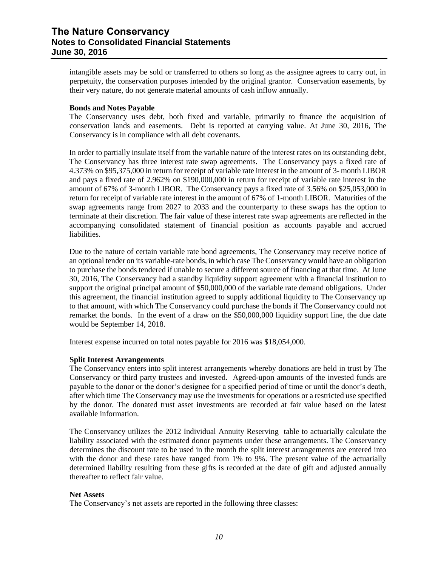intangible assets may be sold or transferred to others so long as the assignee agrees to carry out, in perpetuity, the conservation purposes intended by the original grantor. Conservation easements, by their very nature, do not generate material amounts of cash inflow annually.

## **Bonds and Notes Payable**

The Conservancy uses debt, both fixed and variable, primarily to finance the acquisition of conservation lands and easements. Debt is reported at carrying value. At June 30, 2016, The Conservancy is in compliance with all debt covenants.

In order to partially insulate itself from the variable nature of the interest rates on its outstanding debt, The Conservancy has three interest rate swap agreements. The Conservancy pays a fixed rate of 4.373% on \$95,375,000 in return for receipt of variable rate interest in the amount of 3- month LIBOR and pays a fixed rate of 2.962% on \$190,000,000 in return for receipt of variable rate interest in the amount of 67% of 3-month LIBOR. The Conservancy pays a fixed rate of 3.56% on \$25,053,000 in return for receipt of variable rate interest in the amount of 67% of 1-month LIBOR. Maturities of the swap agreements range from 2027 to 2033 and the counterparty to these swaps has the option to terminate at their discretion. The fair value of these interest rate swap agreements are reflected in the accompanying consolidated statement of financial position as accounts payable and accrued liabilities.

Due to the nature of certain variable rate bond agreements, The Conservancy may receive notice of an optional tender on its variable-rate bonds, in which case The Conservancy would have an obligation to purchase the bonds tendered if unable to secure a different source of financing at that time. At June 30, 2016, The Conservancy had a standby liquidity support agreement with a financial institution to support the original principal amount of \$50,000,000 of the variable rate demand obligations. Under this agreement, the financial institution agreed to supply additional liquidity to The Conservancy up to that amount, with which The Conservancy could purchase the bonds if The Conservancy could not remarket the bonds. In the event of a draw on the \$50,000,000 liquidity support line, the due date would be September 14, 2018.

Interest expense incurred on total notes payable for 2016 was \$18,054,000.

## **Split Interest Arrangements**

The Conservancy enters into split interest arrangements whereby donations are held in trust by The Conservancy or third party trustees and invested. Agreed-upon amounts of the invested funds are payable to the donor or the donor's designee for a specified period of time or until the donor's death, after which time The Conservancy may use the investments for operations or a restricted use specified by the donor. The donated trust asset investments are recorded at fair value based on the latest available information.

The Conservancy utilizes the 2012 Individual Annuity Reserving table to actuarially calculate the liability associated with the estimated donor payments under these arrangements. The Conservancy determines the discount rate to be used in the month the split interest arrangements are entered into with the donor and these rates have ranged from 1% to 9%. The present value of the actuarially determined liability resulting from these gifts is recorded at the date of gift and adjusted annually thereafter to reflect fair value.

## **Net Assets**

The Conservancy's net assets are reported in the following three classes: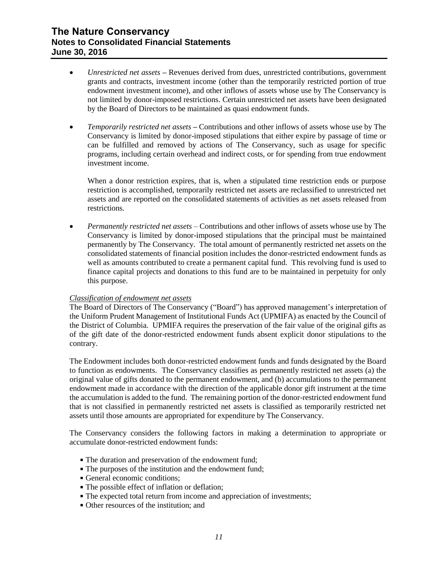- *Unrestricted net assets* Revenues derived from dues, unrestricted contributions, government grants and contracts, investment income (other than the temporarily restricted portion of true endowment investment income), and other inflows of assets whose use by The Conservancy is not limited by donor-imposed restrictions. Certain unrestricted net assets have been designated by the Board of Directors to be maintained as quasi endowment funds.
- *Temporarily restricted net assets* **–** Contributions and other inflows of assets whose use by The Conservancy is limited by donor-imposed stipulations that either expire by passage of time or can be fulfilled and removed by actions of The Conservancy, such as usage for specific programs, including certain overhead and indirect costs, or for spending from true endowment investment income.

When a donor restriction expires, that is, when a stipulated time restriction ends or purpose restriction is accomplished, temporarily restricted net assets are reclassified to unrestricted net assets and are reported on the consolidated statements of activities as net assets released from restrictions.

 *Permanently restricted net assets* – Contributions and other inflows of assets whose use by The Conservancy is limited by donor-imposed stipulations that the principal must be maintained permanently by The Conservancy. The total amount of permanently restricted net assets on the consolidated statements of financial position includes the donor-restricted endowment funds as well as amounts contributed to create a permanent capital fund. This revolving fund is used to finance capital projects and donations to this fund are to be maintained in perpetuity for only this purpose.

## *Classification of endowment net assets*

The Board of Directors of The Conservancy ("Board") has approved management's interpretation of the Uniform Prudent Management of Institutional Funds Act (UPMIFA) as enacted by the Council of the District of Columbia. UPMIFA requires the preservation of the fair value of the original gifts as of the gift date of the donor-restricted endowment funds absent explicit donor stipulations to the contrary.

The Endowment includes both donor-restricted endowment funds and funds designated by the Board to function as endowments. The Conservancy classifies as permanently restricted net assets (a) the original value of gifts donated to the permanent endowment, and (b) accumulations to the permanent endowment made in accordance with the direction of the applicable donor gift instrument at the time the accumulation is added to the fund. The remaining portion of the donor-restricted endowment fund that is not classified in permanently restricted net assets is classified as temporarily restricted net assets until those amounts are appropriated for expenditure by The Conservancy.

The Conservancy considers the following factors in making a determination to appropriate or accumulate donor-restricted endowment funds:

- The duration and preservation of the endowment fund;
- The purposes of the institution and the endowment fund;
- General economic conditions:
- The possible effect of inflation or deflation;
- The expected total return from income and appreciation of investments;
- Other resources of the institution; and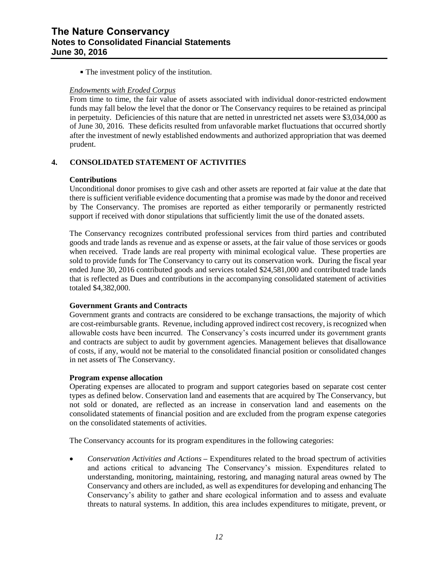The investment policy of the institution.

#### *Endowments with Eroded Corpus*

From time to time, the fair value of assets associated with individual donor-restricted endowment funds may fall below the level that the donor or The Conservancy requires to be retained as principal in perpetuity. Deficiencies of this nature that are netted in unrestricted net assets were \$3,034,000 as of June 30, 2016. These deficits resulted from unfavorable market fluctuations that occurred shortly after the investment of newly established endowments and authorized appropriation that was deemed prudent.

# **4. CONSOLIDATED STATEMENT OF ACTIVITIES**

#### **Contributions**

Unconditional donor promises to give cash and other assets are reported at fair value at the date that there is sufficient verifiable evidence documenting that a promise was made by the donor and received by The Conservancy. The promises are reported as either temporarily or permanently restricted support if received with donor stipulations that sufficiently limit the use of the donated assets.

The Conservancy recognizes contributed professional services from third parties and contributed goods and trade lands as revenue and as expense or assets, at the fair value of those services or goods when received. Trade lands are real property with minimal ecological value. These properties are sold to provide funds for The Conservancy to carry out its conservation work. During the fiscal year ended June 30, 2016 contributed goods and services totaled \$24,581,000 and contributed trade lands that is reflected as Dues and contributions in the accompanying consolidated statement of activities totaled \$4,382,000.

## **Government Grants and Contracts**

Government grants and contracts are considered to be exchange transactions, the majority of which are cost-reimbursable grants. Revenue, including approved indirect cost recovery, is recognized when allowable costs have been incurred. The Conservancy's costs incurred under its government grants and contracts are subject to audit by government agencies. Management believes that disallowance of costs, if any, would not be material to the consolidated financial position or consolidated changes in net assets of The Conservancy.

#### **Program expense allocation**

Operating expenses are allocated to program and support categories based on separate cost center types as defined below. Conservation land and easements that are acquired by The Conservancy, but not sold or donated, are reflected as an increase in conservation land and easements on the consolidated statements of financial position and are excluded from the program expense categories on the consolidated statements of activities.

The Conservancy accounts for its program expenditures in the following categories:

 *Conservation Activities and Actions* **–** Expenditures related to the broad spectrum of activities and actions critical to advancing The Conservancy's mission. Expenditures related to understanding, monitoring, maintaining, restoring, and managing natural areas owned by The Conservancy and others are included, as well as expenditures for developing and enhancing The Conservancy's ability to gather and share ecological information and to assess and evaluate threats to natural systems. In addition, this area includes expenditures to mitigate, prevent, or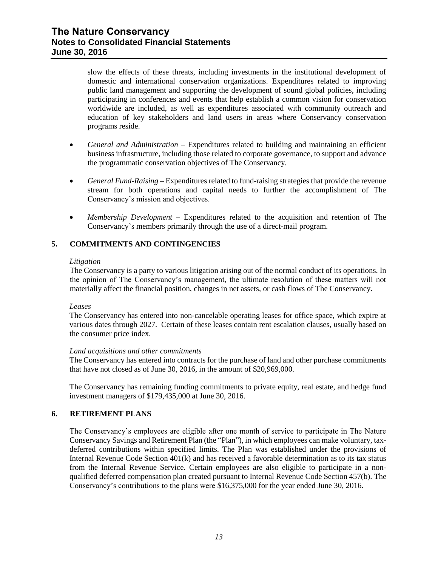slow the effects of these threats, including investments in the institutional development of domestic and international conservation organizations. Expenditures related to improving public land management and supporting the development of sound global policies, including participating in conferences and events that help establish a common vision for conservation worldwide are included, as well as expenditures associated with community outreach and education of key stakeholders and land users in areas where Conservancy conservation programs reside.

- *General and Administration* Expenditures related to building and maintaining an efficient business infrastructure, including those related to corporate governance, to support and advance the programmatic conservation objectives of The Conservancy.
- *General Fund-Raising* **–** Expenditures related to fund-raising strategies that provide the revenue stream for both operations and capital needs to further the accomplishment of The Conservancy's mission and objectives.
- *Membership Development* **–** Expenditures related to the acquisition and retention of The Conservancy's members primarily through the use of a direct-mail program.

# **5. COMMITMENTS AND CONTINGENCIES**

#### *Litigation*

The Conservancy is a party to various litigation arising out of the normal conduct of its operations. In the opinion of The Conservancy's management, the ultimate resolution of these matters will not materially affect the financial position, changes in net assets, or cash flows of The Conservancy.

#### *Leases*

The Conservancy has entered into non-cancelable operating leases for office space, which expire at various dates through 2027. Certain of these leases contain rent escalation clauses, usually based on the consumer price index.

#### *Land acquisitions and other commitments*

The Conservancy has entered into contracts for the purchase of land and other purchase commitments that have not closed as of June 30, 2016, in the amount of \$20,969,000.

The Conservancy has remaining funding commitments to private equity, real estate, and hedge fund investment managers of \$179,435,000 at June 30, 2016.

## **6. RETIREMENT PLANS**

The Conservancy's employees are eligible after one month of service to participate in The Nature Conservancy Savings and Retirement Plan (the "Plan"), in which employees can make voluntary, taxdeferred contributions within specified limits. The Plan was established under the provisions of Internal Revenue Code Section 401(k) and has received a favorable determination as to its tax status from the Internal Revenue Service. Certain employees are also eligible to participate in a nonqualified deferred compensation plan created pursuant to Internal Revenue Code Section 457(b). The Conservancy's contributions to the plans were \$16,375,000 for the year ended June 30, 2016.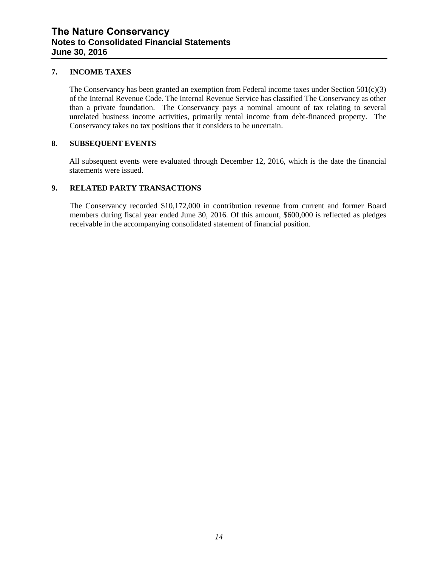# **7. INCOME TAXES**

The Conservancy has been granted an exemption from Federal income taxes under Section 501(c)(3) of the Internal Revenue Code. The Internal Revenue Service has classified The Conservancy as other than a private foundation. The Conservancy pays a nominal amount of tax relating to several unrelated business income activities, primarily rental income from debt-financed property. The Conservancy takes no tax positions that it considers to be uncertain.

# **8. SUBSEQUENT EVENTS**

All subsequent events were evaluated through December 12, 2016, which is the date the financial statements were issued.

## **9. RELATED PARTY TRANSACTIONS**

The Conservancy recorded \$10,172,000 in contribution revenue from current and former Board members during fiscal year ended June 30, 2016. Of this amount, \$600,000 is reflected as pledges receivable in the accompanying consolidated statement of financial position.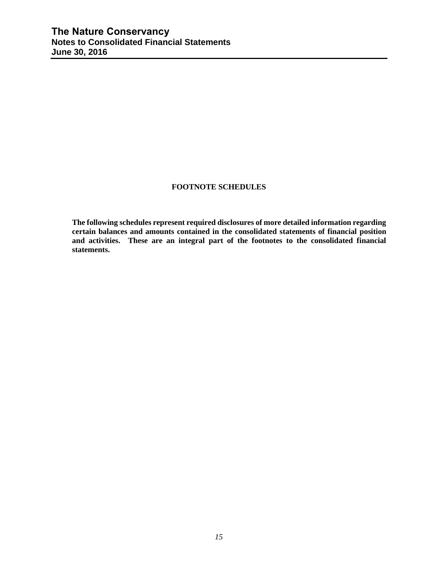# **FOOTNOTE SCHEDULES**

**The following schedules represent required disclosures of more detailed information regarding certain balances and amounts contained in the consolidated statements of financial position and activities. These are an integral part of the footnotes to the consolidated financial statements.**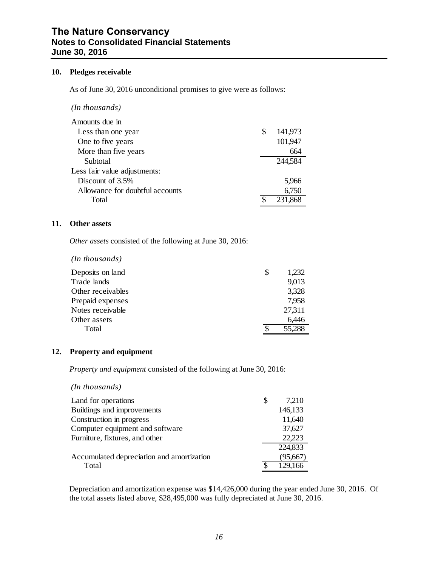#### **10. Pledges receivable**

As of June 30, 2016 unconditional promises to give were as follows:

#### *(In thousands)*

| Amounts due in                  |   |         |
|---------------------------------|---|---------|
| Less than one year              | S | 141,973 |
| One to five years               |   | 101,947 |
| More than five years            |   | 664     |
| Subtotal                        |   | 244,584 |
| Less fair value adjustments:    |   |         |
| Discount of 3.5%                |   | 5,966   |
| Allowance for doubtful accounts |   | 6,750   |
| Total                           |   | 231.868 |

#### **11. Other assets**

*Other assets* consisted of the following at June 30, 2016:

| $(In$ thousands)  |    |        |
|-------------------|----|--------|
| Deposits on land  | \$ | 1,232  |
| Trade lands       |    | 9,013  |
| Other receivables |    | 3,328  |
| Prepaid expenses  |    | 7,958  |
| Notes receivable  |    | 27,311 |
| Other assets      |    | 6,446  |
| Total             | S. | 55,288 |

## **12. Property and equipment**

*Property and equipment* consisted of the following at June 30, 2016:

| $(In$ thousands)                          |   |          |
|-------------------------------------------|---|----------|
| Land for operations                       | S | 7,210    |
| Buildings and improvements                |   | 146,133  |
| Construction in progress                  |   | 11,640   |
| Computer equipment and software           |   | 37,627   |
| Furniture, fixtures, and other            |   | 22,223   |
|                                           |   | 224,833  |
| Accumulated depreciation and amortization |   | (95,667) |
| Total                                     |   | 129,166  |

Depreciation and amortization expense was \$14,426,000 during the year ended June 30, 2016. Of the total assets listed above, \$28,495,000 was fully depreciated at June 30, 2016.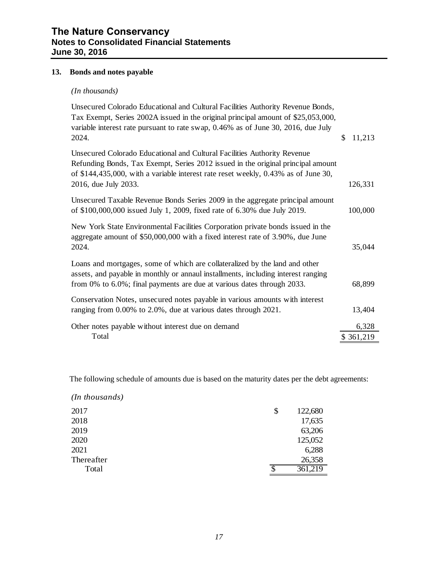# **13. Bonds and notes payable**

# *(In thousands)*

| Unsecured Colorado Educational and Cultural Facilities Authority Revenue Bonds,<br>Tax Exempt, Series 2002A issued in the original principal amount of \$25,053,000,<br>variable interest rate pursuant to rate swap, 0.46% as of June 30, 2016, due July |                    |
|-----------------------------------------------------------------------------------------------------------------------------------------------------------------------------------------------------------------------------------------------------------|--------------------|
| 2024.                                                                                                                                                                                                                                                     | \$<br>11,213       |
| Unsecured Colorado Educational and Cultural Facilities Authority Revenue<br>Refunding Bonds, Tax Exempt, Series 2012 issued in the original principal amount<br>of $$144,435,000$ , with a variable interest rate reset weekly, 0.43% as of June 30,      |                    |
| 2016, due July 2033.                                                                                                                                                                                                                                      | 126,331            |
| Unsecured Taxable Revenue Bonds Series 2009 in the aggregate principal amount<br>of \$100,000,000 issued July 1, 2009, fixed rate of 6.30% due July 2019.                                                                                                 | 100,000            |
| New York State Environmental Facilities Corporation private bonds issued in the<br>aggregate amount of \$50,000,000 with a fixed interest rate of 3.90%, due June<br>2024.                                                                                | 35,044             |
| Loans and mortgages, some of which are collateralized by the land and other<br>assets, and payable in monthly or annaul installments, including interest ranging<br>from 0% to 6.0%; final payments are due at various dates through 2033.                | 68,899             |
| Conservation Notes, unsecured notes payable in various amounts with interest<br>ranging from 0.00% to 2.0%, due at various dates through 2021.                                                                                                            | 13,404             |
| Other notes payable without interest due on demand<br>Total                                                                                                                                                                                               | 6,328<br>\$361,219 |

The following schedule of amounts due is based on the maturity dates per the debt agreements:

| $(In$ thousands) |               |         |
|------------------|---------------|---------|
| 2017             | \$            | 122,680 |
| 2018             |               | 17,635  |
| 2019             |               | 63,206  |
| 2020             |               | 125,052 |
| 2021             |               | 6,288   |
| Thereafter       |               | 26,358  |
| Total            | <sup>\$</sup> | 361,219 |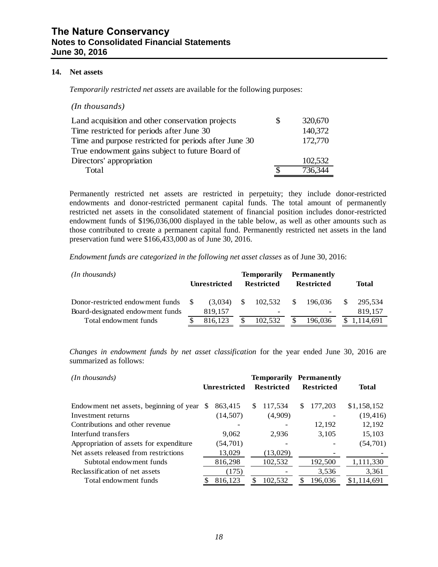#### **14. Net assets**

*Temporarily restricted net assets* are available for the following purposes:

#### *(In thousands)*

| Land acquisition and other conservation projects      | S | 320,670 |
|-------------------------------------------------------|---|---------|
| Time restricted for periods after June 30             |   | 140,372 |
| Time and purpose restricted for periods after June 30 |   | 172,770 |
| True endowment gains subject to future Board of       |   |         |
| Directors' appropriation                              |   | 102,532 |
| Total                                                 |   | 736,344 |

Permanently restricted net assets are restricted in perpetuity; they include donor-restricted endowments and donor-restricted permanent capital funds. The total amount of permanently restricted net assets in the consolidated statement of financial position includes donor-restricted endowment funds of \$196,036,000 displayed in the table below, as well as other amounts such as those contributed to create a permanent capital fund. Permanently restricted net assets in the land preservation fund were \$166,433,000 as of June 30, 2016.

*Endowment funds are categorized in the following net asset classes* as of June 30, 2016:

| $(In$ thousands)                 | <b>Unrestricted</b> | <b>Temporarily</b><br><b>Restricted</b> |         |     | <b>Permanently</b><br>Restricted | Total       |
|----------------------------------|---------------------|-----------------------------------------|---------|-----|----------------------------------|-------------|
| Donor-restricted endowment funds | (3.034)             | - \$                                    | 102.532 | \$. | 196.036                          | 295.534     |
| Board-designated endowment funds | 819.157             |                                         | -       |     |                                  | 819.157     |
| Total endowment funds            | 816.123             |                                         | 102.532 |     | 196.036                          | \$1.114.691 |

*Changes in endowment funds by net asset classification* for the year ended June 30, 2016 are summarized as follows:

| $(In$ thousands)                        | <b>Unrestricted</b> |           | <b>Temporarily Permanently</b><br><b>Restricted</b> |          |   |         |             | <b>Restricted</b> | Total |
|-----------------------------------------|---------------------|-----------|-----------------------------------------------------|----------|---|---------|-------------|-------------------|-------|
| Endowment net assets, beginning of year | S                   | 863,415   | \$.                                                 | 117,534  | S | 177,203 | \$1,158,152 |                   |       |
| Investment returns                      |                     | (14,507)  |                                                     | (4,909)  |   |         | (19, 416)   |                   |       |
| Contributions and other revenue         |                     |           |                                                     |          |   | 12,192  | 12,192      |                   |       |
| Interfund transfers                     |                     | 9.062     |                                                     | 2.936    |   | 3,105   | 15,103      |                   |       |
| Appropriation of assets for expenditure |                     | (54, 701) |                                                     |          |   |         | (54, 701)   |                   |       |
| Net assets released from restrictions   |                     | 13,029    |                                                     | (13,029) |   |         |             |                   |       |
| Subtotal endowment funds                |                     | 816,298   |                                                     | 102,532  |   | 192,500 | 1,111,330   |                   |       |
| Reclassification of net assets          |                     | (175)     |                                                     |          |   | 3,536   | 3,361       |                   |       |
| Total endowment funds                   |                     | 816.123   |                                                     | 102.532  |   | 196.036 | \$1,114,691 |                   |       |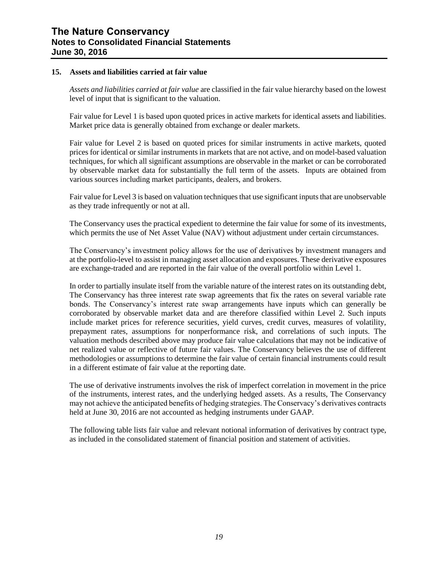#### **15. Assets and liabilities carried at fair value**

*Assets and liabilities carried at fair value* are classified in the fair value hierarchy based on the lowest level of input that is significant to the valuation.

Fair value for Level 1 is based upon quoted prices in active markets for identical assets and liabilities. Market price data is generally obtained from exchange or dealer markets.

Fair value for Level 2 is based on quoted prices for similar instruments in active markets, quoted prices for identical or similar instruments in markets that are not active, and on model-based valuation techniques, for which all significant assumptions are observable in the market or can be corroborated by observable market data for substantially the full term of the assets. Inputs are obtained from various sources including market participants, dealers, and brokers.

Fair value for Level 3 is based on valuation techniques that use significant inputs that are unobservable as they trade infrequently or not at all.

The Conservancy uses the practical expedient to determine the fair value for some of its investments, which permits the use of Net Asset Value (NAV) without adjustment under certain circumstances.

The Conservancy's investment policy allows for the use of derivatives by investment managers and at the portfolio-level to assist in managing asset allocation and exposures. These derivative exposures are exchange-traded and are reported in the fair value of the overall portfolio within Level 1.

In order to partially insulate itself from the variable nature of the interest rates on its outstanding debt, The Conservancy has three interest rate swap agreements that fix the rates on several variable rate bonds. The Conservancy's interest rate swap arrangements have inputs which can generally be corroborated by observable market data and are therefore classified within Level 2. Such inputs include market prices for reference securities, yield curves, credit curves, measures of volatility, prepayment rates, assumptions for nonperformance risk, and correlations of such inputs. The valuation methods described above may produce fair value calculations that may not be indicative of net realized value or reflective of future fair values. The Conservancy believes the use of different methodologies or assumptions to determine the fair value of certain financial instruments could result in a different estimate of fair value at the reporting date.

The use of derivative instruments involves the risk of imperfect correlation in movement in the price of the instruments, interest rates, and the underlying hedged assets. As a results, The Conservancy may not achieve the anticipated benefits of hedging strategies. The Conservacy's derivatives contracts held at June 30, 2016 are not accounted as hedging instruments under GAAP.

The following table lists fair value and relevant notional information of derivatives by contract type, as included in the consolidated statement of financial position and statement of activities.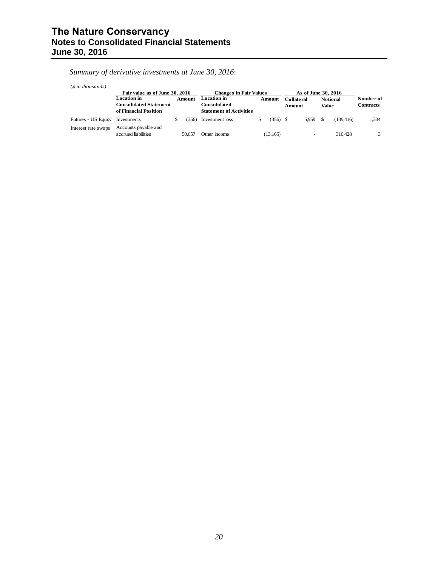*Summary of derivative investments at June 30, 2016*:

#### *(\$ in thousands)*

|                     | Fair value as of June 30, 2016                                               |        | <b>Changes in Fair Values</b>                                               | As of June 30, 2016 |                       |                          |       |                 |                               |
|---------------------|------------------------------------------------------------------------------|--------|-----------------------------------------------------------------------------|---------------------|-----------------------|--------------------------|-------|-----------------|-------------------------------|
|                     | <b>Location in</b><br><b>Consolidated Statement</b><br>of Financial Position | Amount | <b>Location</b> in<br><b>Consolidated</b><br><b>Statement of Activities</b> | Amount              | Collateral<br>Amount. |                          | Value | <b>Notional</b> | Number of<br><b>Contracts</b> |
| Futures - US Equity | Investments                                                                  | 356)   | Investment loss                                                             | $(356)$ \$          |                       | 5.959                    |       | (139, 416)      | 1,334                         |
| Interest rate swaps | Accounts payable and<br>accrued liabilities                                  | 50.657 | Other income                                                                | (13, 165)           |                       | $\overline{\phantom{a}}$ |       | 310,428         |                               |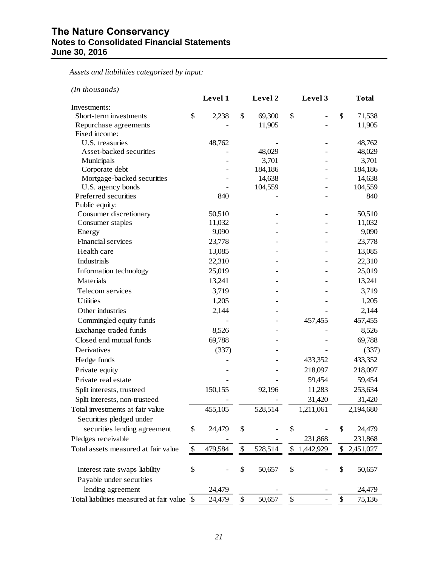*Assets and liabilities categorized by input:*

|  | $(In$ thousands) |  |
|--|------------------|--|
|--|------------------|--|

|                                             | Level 1          |      | Level 2 |      | Level 3   |              | <b>Total</b>    |
|---------------------------------------------|------------------|------|---------|------|-----------|--------------|-----------------|
| Investments:                                |                  |      |         |      |           |              |                 |
| Short-term investments                      | \$<br>2,238      | \$   | 69,300  | \$   |           | \$           | 71,538          |
| Repurchase agreements                       |                  |      | 11,905  |      |           |              | 11,905          |
| Fixed income:                               |                  |      |         |      |           |              |                 |
| U.S. treasuries                             | 48,762           |      |         |      |           |              | 48,762          |
| Asset-backed securities                     |                  |      | 48,029  |      |           |              | 48,029          |
| Municipals                                  |                  |      | 3,701   |      |           |              | 3,701           |
| Corporate debt                              |                  |      | 184,186 |      |           |              | 184,186         |
| Mortgage-backed securities                  |                  |      | 14,638  |      |           |              | 14,638          |
| U.S. agency bonds                           |                  |      | 104,559 |      |           |              | 104,559         |
| Preferred securities                        | 840              |      |         |      |           |              | 840             |
| Public equity:                              |                  |      |         |      |           |              |                 |
| Consumer discretionary                      | 50,510<br>11,032 |      |         |      |           |              | 50,510          |
| Consumer staples                            | 9,090            |      |         |      |           |              | 11,032<br>9,090 |
| Energy<br>Financial services                |                  |      |         |      |           |              |                 |
|                                             | 23,778           |      |         |      |           |              | 23,778          |
| Health care                                 | 13,085           |      |         |      |           |              | 13,085          |
| Industrials                                 | 22,310           |      |         |      |           |              | 22,310          |
| Information technology                      | 25,019           |      |         |      |           |              | 25,019          |
| Materials                                   | 13,241           |      |         |      |           |              | 13,241          |
| Telecom services                            | 3,719            |      |         |      |           |              | 3,719           |
| <b>Utilities</b>                            | 1,205            |      |         |      |           |              | 1,205           |
| Other industries                            | 2,144            |      |         |      |           |              | 2,144           |
| Commingled equity funds                     |                  |      |         |      | 457,455   |              | 457,455         |
| Exchange traded funds                       | 8,526            |      |         |      |           |              | 8,526           |
| Closed end mutual funds                     | 69,788           |      |         |      |           |              | 69,788          |
| Derivatives                                 | (337)            |      |         |      |           |              | (337)           |
| Hedge funds                                 |                  |      |         |      | 433,352   |              | 433,352         |
| Private equity                              |                  |      |         |      | 218,097   |              | 218,097         |
| Private real estate                         |                  |      |         |      | 59,454    |              | 59,454          |
| Split interests, trusteed                   | 150,155          |      | 92,196  |      | 11,283    |              | 253,634         |
| Split interests, non-trusteed               |                  |      |         |      | 31,420    |              | 31,420          |
| Total investments at fair value             | 455,105          |      | 528,514 |      | 1,211,061 |              | 2,194,680       |
| Securities pledged under                    |                  |      |         |      |           |              |                 |
| securities lending agreement                | \$<br>24,479     | \$   |         | \$   |           | \$           | 24,479          |
|                                             |                  |      |         |      |           |              |                 |
| Pledges receivable                          |                  |      |         |      | 231,868   |              | 231,868         |
| Total assets measured at fair value         | \$<br>479,584    | $\$$ | 528,514 | \$   | 1,442,929 | $\$\,$       | 2,451,027       |
| Interest rate swaps liability               | \$               | \$   | 50,657  | \$   |           | \$           | 50,657          |
| Payable under securities                    |                  |      |         |      |           |              |                 |
| lending agreement                           | 24,479           |      |         |      |           |              | 24,479          |
| Total liabilities measured at fair value \$ | 24,479           | $\$$ | 50,657  | $\$$ |           | $\mathbb{S}$ | 75,136          |
|                                             |                  |      |         |      |           |              |                 |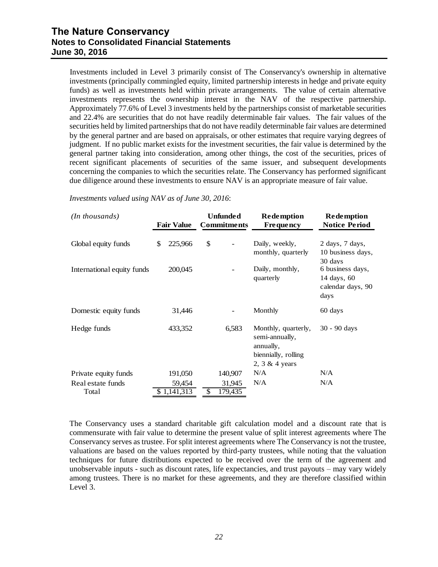Investments included in Level 3 primarily consist of The Conservancy's ownership in alternative investments (principally commingled equity, limited partnership interests in hedge and private equity funds) as well as investments held within private arrangements. The value of certain alternative investments represents the ownership interest in the NAV of the respective partnership. Approximately 77.6% of Level 3 investments held by the partnerships consist of marketable securities and 22.4% are securities that do not have readily determinable fair values. The fair values of the securities held by limited partnerships that do not have readily determinable fair values are determined by the general partner and are based on appraisals, or other estimates that require varying degrees of judgment. If no public market exists for the investment securities, the fair value is determined by the general partner taking into consideration, among other things, the cost of the securities, prices of recent significant placements of securities of the same issuer, and subsequent developments concerning the companies to which the securities relate. The Conservancy has performed significant due diligence around these investments to ensure NAV is an appropriate measure of fair value.

| (In thousands)             | <b>Fair Value</b> | <b>Unfunded</b><br><b>Commitments</b> | <b>Redemption</b><br><b>Frequency</b>                                                         | <b>Redemption</b><br><b>Notice Period</b>                    |  |  |
|----------------------------|-------------------|---------------------------------------|-----------------------------------------------------------------------------------------------|--------------------------------------------------------------|--|--|
| Global equity funds        | 225,966<br>\$.    | \$                                    | Daily, weekly,<br>monthly, quarterly                                                          | 2 days, 7 days,<br>10 business days,<br>30 days              |  |  |
| International equity funds | 200,045           |                                       | Daily, monthly,<br>quarterly                                                                  | 6 business days,<br>14 days, 60<br>calendar days, 90<br>days |  |  |
| Domestic equity funds      | 31,446            |                                       | Monthly                                                                                       | 60 days                                                      |  |  |
| Hedge funds                | 433,352           | 6,583                                 | Monthly, quarterly,<br>semi-annually,<br>annually,<br>biennially, rolling<br>2, $3 & 4$ years | $30 - 90$ days                                               |  |  |
| Private equity funds       | 191,050           | 140,907                               | N/A                                                                                           | N/A                                                          |  |  |
| Real estate funds          | 59,454            | 31,945                                | N/A                                                                                           | N/A                                                          |  |  |
| Total                      | \$1,141,313       | \$<br>179,435                         |                                                                                               |                                                              |  |  |

#### *Investments valued using NAV as of June 30, 2016*:

The Conservancy uses a standard charitable gift calculation model and a discount rate that is commensurate with fair value to determine the present value of split interest agreements where The Conservancy serves as trustee. For split interest agreements where The Conservancy is not the trustee, valuations are based on the values reported by third-party trustees, while noting that the valuation techniques for future distributions expected to be received over the term of the agreement and unobservable inputs - such as discount rates, life expectancies, and trust payouts – may vary widely among trustees. There is no market for these agreements, and they are therefore classified within Level 3.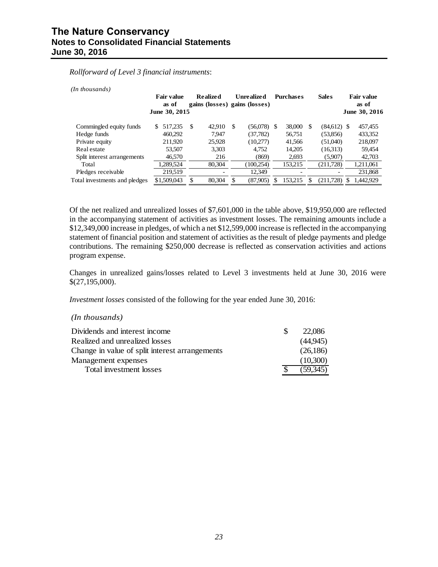## *Rollforward of Level 3 financial instruments*:

#### *(In thousands)*

|                               | <b>Fair value</b><br>as of |    | <b>Realized</b><br>gains (losses) gains (losses) |    | Unrealized    | <b>Purchases</b> |         |    | <b>Sales</b>  | <b>Fair value</b><br>as of |               |  |
|-------------------------------|----------------------------|----|--------------------------------------------------|----|---------------|------------------|---------|----|---------------|----------------------------|---------------|--|
|                               | June 30, 2015              |    |                                                  |    |               |                  |         |    |               |                            | June 30, 2016 |  |
| Commingled equity funds       | 517.235<br>\$.             | -S | 42.910                                           | £. | $(56,078)$ \$ |                  | 38,000  | S. | $(84,612)$ \$ |                            | 457,455       |  |
| Hedge funds                   | 460.292                    |    | 7.947                                            |    | (37, 782)     |                  | 56,751  |    | (53,856)      |                            | 433,352       |  |
| Private equity                | 211.920                    |    | 25.928                                           |    | (10,277)      |                  | 41,566  |    | (51,040)      |                            | 218,097       |  |
| Real estate                   | 53,507                     |    | 3.303                                            |    | 4,752         |                  | 14,205  |    | (16,313)      |                            | 59,454        |  |
| Split interest arrangements   | 46,570                     |    | 216                                              |    | (869)         |                  | 2,693   |    | (5,907)       |                            | 42,703        |  |
| Total                         | 1,289,524                  |    | 80,304                                           |    | (100, 254)    |                  | 153,215 |    | (211, 728)    |                            | 1,211,061     |  |
| Pledges receivable            | 219,519                    |    |                                                  |    | 12,349        |                  |         |    |               |                            | 231,868       |  |
| Total investments and pledges | \$1,509,043                |    | 80,304                                           |    | (87,905)      |                  | 153.215 |    | (211,728)     | S                          | 1,442,929     |  |

Of the net realized and unrealized losses of \$7,601,000 in the table above, \$19,950,000 are reflected in the accompanying statement of activities as investment losses. The remaining amounts include a \$12,349,000 increase in pledges, of which a net \$12,599,000 increase is reflected in the accompanying statement of financial position and statement of activities as the result of pledge payments and pledge contributions. The remaining \$250,000 decrease is reflected as conservation activities and actions program expense.

Changes in unrealized gains/losses related to Level 3 investments held at June 30, 2016 were \$(27,195,000).

*Investment losses* consisted of the following for the year ended June 30, 2016:

#### *(In thousands)*

| Dividends and interest income                  | 22,086    |
|------------------------------------------------|-----------|
| Realized and unrealized losses                 | (44,945)  |
| Change in value of split interest arrangements | (26, 186) |
| Management expenses                            | (10,300)  |
| Total investment losses                        | (59,345)  |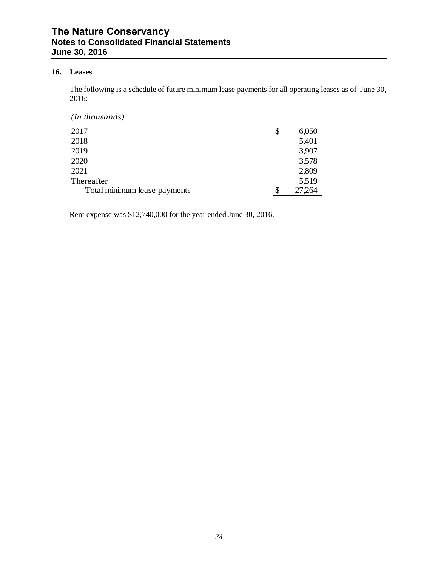# **16. Leases**

The following is a schedule of future minimum lease payments for all operating leases as of June 30, 2016:

| $(In$ thousands)             |              |
|------------------------------|--------------|
| 2017                         | \$<br>6,050  |
| 2018                         | 5,401        |
| 2019                         | 3,907        |
| 2020                         | 3,578        |
| 2021                         | 2,809        |
| Thereafter                   | 5,519        |
| Total minimum lease payments | \$<br>27,264 |

Rent expense was \$12,740,000 for the year ended June 30, 2016.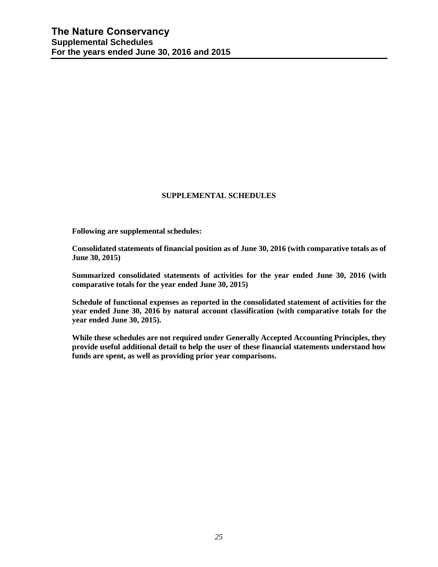## **SUPPLEMENTAL SCHEDULES**

**Following are supplemental schedules:**

**Consolidated statements of financial position as of June 30, 2016 (with comparative totals as of June 30, 2015)**

**Summarized consolidated statements of activities for the year ended June 30, 2016 (with comparative totals for the year ended June 30, 2015)**

**Schedule of functional expenses as reported in the consolidated statement of activities for the year ended June 30, 2016 by natural account classification (with comparative totals for the year ended June 30, 2015).** 

**While these schedules are not required under Generally Accepted Accounting Principles, they provide useful additional detail to help the user of these financial statements understand how funds are spent, as well as providing prior year comparisons.**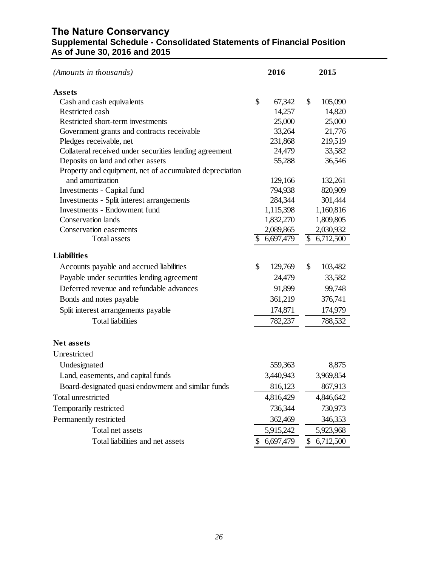# **The Nature Conservancy Supplemental Schedule - Consolidated Statements of Financial Position As of June 30, 2016 and 2015**

| (Amounts in thousands)                                                    | 2016                   | 2015                      |
|---------------------------------------------------------------------------|------------------------|---------------------------|
| <b>Assets</b>                                                             |                        |                           |
| \$<br>Cash and cash equivalents                                           | 67,342                 | \$<br>105,090             |
| Restricted cash                                                           | 14,257                 | 14,820                    |
| Restricted short-term investments                                         | 25,000                 | 25,000                    |
| Government grants and contracts receivable                                | 33,264                 | 21,776                    |
| Pledges receivable, net                                                   | 231,868                | 219,519                   |
| Collateral received under securities lending agreement                    | 24,479                 | 33,582                    |
| Deposits on land and other assets                                         | 55,288                 | 36,546                    |
| Property and equipment, net of accumulated depreciation                   |                        |                           |
| and amortization                                                          | 129,166                | 132,261                   |
| Investments - Capital fund                                                | 794,938                | 820,909                   |
| Investments - Split interest arrangements<br>Investments - Endowment fund | 284,344                | 301,444                   |
| Conservation lands                                                        | 1,115,398<br>1,832,270 | 1,160,816<br>1,809,805    |
| Conservation easements                                                    | 2,089,865              | 2,030,932                 |
| <b>Total assets</b>                                                       | \$ 6,697,479           | \$6,712,500               |
|                                                                           |                        |                           |
| <b>Liabilities</b>                                                        |                        |                           |
| \$<br>Accounts payable and accrued liabilities                            | 129,769                | \$<br>103,482             |
| Payable under securities lending agreement                                | 24,479                 | 33,582                    |
| Deferred revenue and refundable advances                                  | 91,899                 | 99,748                    |
| Bonds and notes payable                                                   | 361,219                | 376,741                   |
| Split interest arrangements payable                                       | 174,871                | 174,979                   |
| <b>Total liabilities</b>                                                  | 782,237                | 788,532                   |
| Net assets                                                                |                        |                           |
| Unrestricted                                                              |                        |                           |
| Undesignated                                                              | 559,363                | 8,875                     |
| Land, easements, and capital funds                                        | 3,440,943              | 3,969,854                 |
| Board-designated quasi endowment and similar funds                        | 816,123                | 867,913                   |
| Total unrestricted                                                        | 4,816,429              | 4,846,642                 |
| Temporarily restricted                                                    | 736,344                | 730,973                   |
| Permanently restricted                                                    | 362,469                | 346,353                   |
| Total net assets                                                          | 5,915,242              | 5,923,968                 |
| Total liabilities and net assets<br>\$                                    | 6,697,479              | $\mathbb{S}$<br>6,712,500 |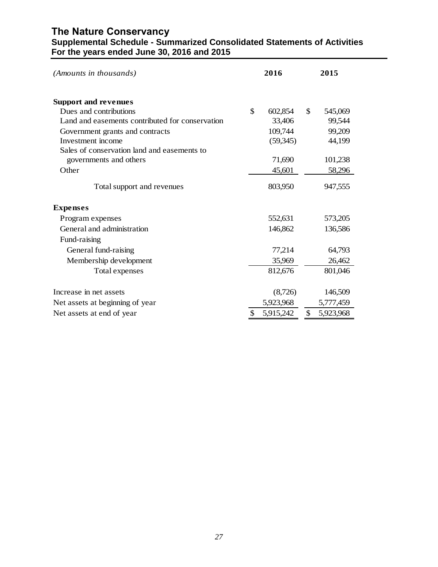# **The Nature Conservancy Supplemental Schedule - Summarized Consolidated Statements of Activities For the years ended June 30, 2016 and 2015**

| (Amounts in thousands)                          | 2016            | 2015         |           |  |
|-------------------------------------------------|-----------------|--------------|-----------|--|
| <b>Support and revenues</b>                     |                 |              |           |  |
| Dues and contributions                          | \$<br>602,854   | \$           | 545,069   |  |
| Land and easements contributed for conservation | 33,406          |              | 99,544    |  |
| Government grants and contracts                 | 109,744         |              | 99,209    |  |
| Investment income                               | (59,345)        |              | 44,199    |  |
| Sales of conservation land and easements to     |                 |              |           |  |
| governments and others                          | 71,690          |              | 101,238   |  |
| Other                                           | 45,601          |              | 58,296    |  |
| Total support and revenues                      | 803,950         |              | 947,555   |  |
| <b>Expenses</b>                                 |                 |              |           |  |
| Program expenses                                | 552,631         |              | 573,205   |  |
| General and administration                      | 146,862         |              | 136,586   |  |
| Fund-raising                                    |                 |              |           |  |
| General fund-raising                            | 77,214          |              | 64,793    |  |
| Membership development                          | 35,969          |              | 26,462    |  |
| Total expenses                                  | 812,676         |              | 801,046   |  |
| Increase in net assets                          | (8,726)         |              | 146,509   |  |
| Net assets at beginning of year                 | 5,923,968       |              | 5,777,459 |  |
| Net assets at end of year                       | \$<br>5,915,242 | $\mathbb{S}$ | 5,923,968 |  |